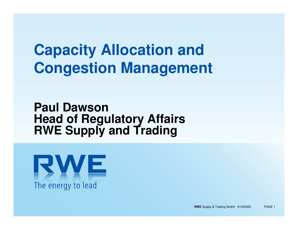# **Capacity Allocation and Congestion Management**

#### **Paul DawsonHead of Regulatory AffairsRWE Supply and Trading**



**RWE** Supply & Trading GmbH 2/19/2009 PAGE 1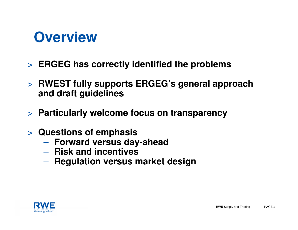# **Overview**

- > **ERGEG has correctly identified the problems**
- > **RWEST fully supports ERGEG's general approach and draft guidelines**
- > **Particularly welcome focus on transparency**
- > **Questions of emphasis**
	- –**Forward versus day-ahead**
	- **Risk and incentives**
	- $\mathcal{L}_{\mathcal{A}}$  , and the set of  $\mathcal{L}_{\mathcal{A}}$  $-$  Regulation versus market design

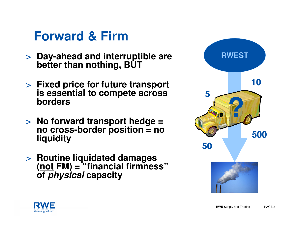## **Forward & Firm**

- > **Day-ahead and interruptible are better than nothing, BUT**
- > **Fixed price for future transport is essential to compete across borders**
- > **No forward transport hedge = no cross-border position = no liquidity**
- > **Routine liquidated damages (not FM) = "financial firmness"of physical capacity**



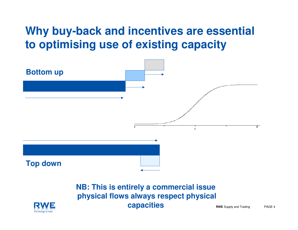### **Why buy-back and incentives are essential to optimising use of existing capacity**